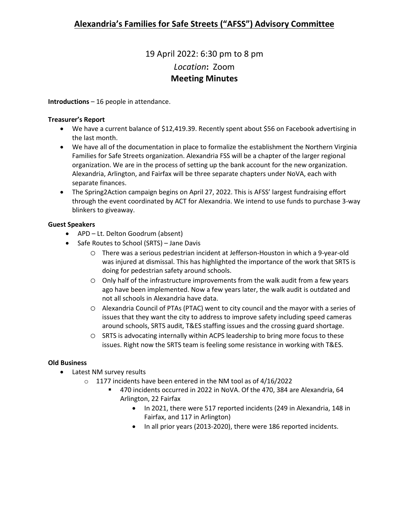# 19 April 2022: 6:30 pm to 8 pm *Location***:** Zoom **Meeting Minutes**

**Introductions** – 16 people in attendance.

#### **Treasurer's Report**

- We have a current balance of \$12,419.39. Recently spent about \$56 on Facebook advertising in the last month.
- We have all of the documentation in place to formalize the establishment the Northern Virginia Families for Safe Streets organization. Alexandria FSS will be a chapter of the larger regional organization. We are in the process of setting up the bank account for the new organization. Alexandria, Arlington, and Fairfax will be three separate chapters under NoVA, each with separate finances.
- The Spring2Action campaign begins on April 27, 2022. This is AFSS' largest fundraising effort through the event coordinated by ACT for Alexandria. We intend to use funds to purchase 3-way blinkers to giveaway.

### **Guest Speakers**

- APD Lt. Delton Goodrum (absent)
- Safe Routes to School (SRTS) Jane Davis
	- o There was a serious pedestrian incident at Jefferson-Houston in which a 9-year-old was injured at dismissal. This has highlighted the importance of the work that SRTS is doing for pedestrian safety around schools.
	- $\circ$  Only half of the infrastructure improvements from the walk audit from a few years ago have been implemented. Now a few years later, the walk audit is outdated and not all schools in Alexandria have data.
	- o Alexandria Council of PTAs (PTAC) went to city council and the mayor with a series of issues that they want the city to address to improve safety including speed cameras around schools, SRTS audit, T&ES staffing issues and the crossing guard shortage.
	- o SRTS is advocating internally within ACPS leadership to bring more focus to these issues. Right now the SRTS team is feeling some resistance in working with T&ES.

### **Old Business**

- Latest NM survey results
	- o 1177 incidents have been entered in the NM tool as of 4/16/2022
		- 470 incidents occurred in 2022 in NoVA. Of the 470, 384 are Alexandria, 64 Arlington, 22 Fairfax
			- In 2021, there were 517 reported incidents (249 in Alexandria, 148 in Fairfax, and 117 in Arlington)
			- In all prior years (2013-2020), there were 186 reported incidents.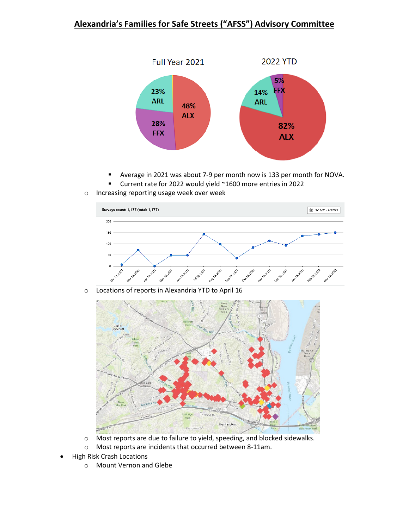### **Alexandria's Families for Safe Streets ("AFSS") Advisory Committee**



- Average in 2021 was about 7-9 per month now is 133 per month for NOVA.
- Current rate for 2022 would yield ~1600 more entries in 2022
- o Increasing reporting usage week over week



o Locations of reports in Alexandria YTD to April 16



- o Most reports are due to failure to yield, speeding, and blocked sidewalks.
- o Most reports are incidents that occurred between 8-11am.
- High Risk Crash Locations
	- o Mount Vernon and Glebe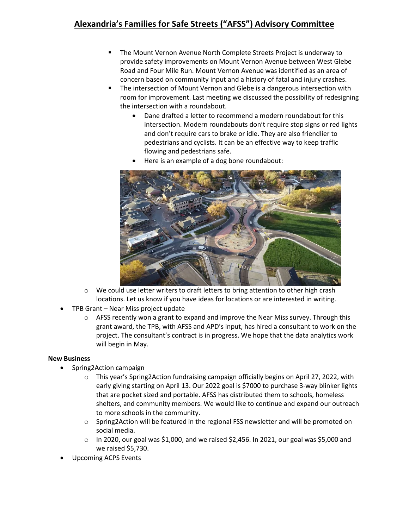### **Alexandria's Families for Safe Streets ("AFSS") Advisory Committee**

- The Mount Vernon Avenue North Complete Streets Project is underway to provide safety improvements on Mount Vernon Avenue between West Glebe Road and Four Mile Run. Mount Vernon Avenue was identified as an area of concern based on community input and a history of fatal and injury crashes.
- The intersection of Mount Vernon and Glebe is a dangerous intersection with room for improvement. Last meeting we discussed the possibility of redesigning the intersection with a roundabout.
	- Dane drafted a letter to recommend a modern roundabout for this intersection. Modern roundabouts don't require stop signs or red lights and don't require cars to brake or idle. They are also friendlier to pedestrians and cyclists. It can be an effective way to keep traffic flowing and pedestrians safe.
	- Here is an example of a dog bone roundabout:



- $\circ$  We could use letter writers to draft letters to bring attention to other high crash locations. Let us know if you have ideas for locations or are interested in writing.
- TPB Grant Near Miss project update
	- $\circ$  AFSS recently won a grant to expand and improve the Near Miss survey. Through this grant award, the TPB, with AFSS and APD's input, has hired a consultant to work on the project. The consultant's contract is in progress. We hope that the data analytics work will begin in May.

### **New Business**

- Spring2Action campaign
	- o This year's Spring2Action fundraising campaign officially begins on April 27, 2022, with early giving starting on April 13. Our 2022 goal is \$7000 to purchase 3-way blinker lights that are pocket sized and portable. AFSS has distributed them to schools, homeless shelters, and community members. We would like to continue and expand our outreach to more schools in the community.
	- o Spring2Action will be featured in the regional FSS newsletter and will be promoted on social media.
	- $\circ$  In 2020, our goal was \$1,000, and we raised \$2,456. In 2021, our goal was \$5,000 and we raised \$5,730.
- Upcoming ACPS Events